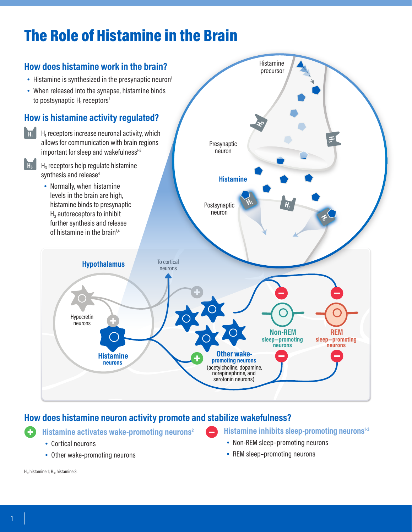# The Role of Histamine in the Brain



## **How does histamine neuron activity promote and stabilize wakefulness?**

**Histamine activates wake-promoting neurons2**

- Cortical neurons
- Other wake-promoting neurons

Histamine inhibits sleep-promoting neurons<sup>1-3</sup>

- Non-REM sleep–promoting neurons
- REM sleep–promoting neurons

H $_{\rm p}$  histamine 1; H $_{\rm 3}$ , histamine 3.

O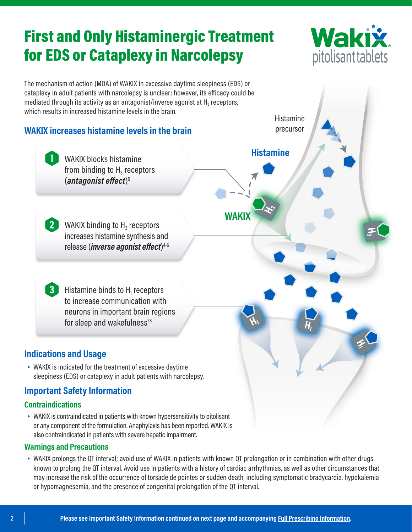# First and Only Histaminergic Treatment for EDS or Cataplexy in Narcolepsy





- **Warnings and Precautions**
- WAKIX prolongs the QT interval; avoid use of WAKIX in patients with known QT prolongation or in combination with other drugs known to prolong the QT interval. Avoid use in patients with a history of cardiac arrhythmias, as well as other circumstances that may increase the risk of the occurrence of torsade de pointes or sudden death, including symptomatic bradycardia, hypokalemia or hypomagnesemia, and the presence of congenital prolongation of the QT interval.